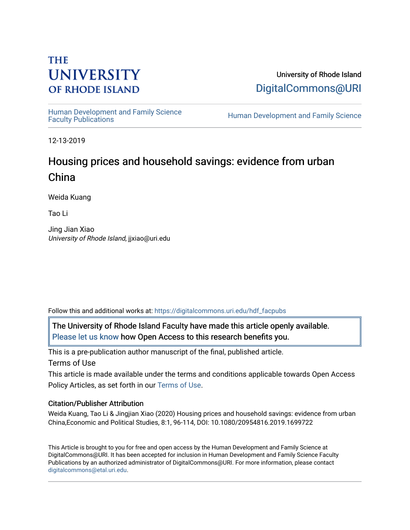# **THE UNIVERSITY OF RHODE ISLAND**

University of Rhode Island [DigitalCommons@URI](https://digitalcommons.uri.edu/) 

Human Development and Family Science<br>Faculty Publications

Human Development and Family Science

12-13-2019

# Housing prices and household savings: evidence from urban China

Weida Kuang

Tao Li

Jing Jian Xiao University of Rhode Island, jjxiao@uri.edu

Follow this and additional works at: [https://digitalcommons.uri.edu/hdf\\_facpubs](https://digitalcommons.uri.edu/hdf_facpubs?utm_source=digitalcommons.uri.edu%2Fhdf_facpubs%2F90&utm_medium=PDF&utm_campaign=PDFCoverPages) 

The University of Rhode Island Faculty have made this article openly available. [Please let us know](http://web.uri.edu/library-digital-initiatives/open-access-online-form/) how Open Access to this research benefits you.

This is a pre-publication author manuscript of the final, published article. Terms of Use

This article is made available under the terms and conditions applicable towards Open Access Policy Articles, as set forth in our [Terms of Use](https://digitalcommons.uri.edu/hdf_facpubs/oa_policy_terms.html).

# Citation/Publisher Attribution

Weida Kuang, Tao Li & Jingjian Xiao (2020) Housing prices and household savings: evidence from urban China,Economic and Political Studies, 8:1, 96-114, DOI: 10.1080/20954816.2019.1699722

This Article is brought to you for free and open access by the Human Development and Family Science at DigitalCommons@URI. It has been accepted for inclusion in Human Development and Family Science Faculty Publications by an authorized administrator of DigitalCommons@URI. For more information, please contact [digitalcommons@etal.uri.edu](mailto:digitalcommons@etal.uri.edu).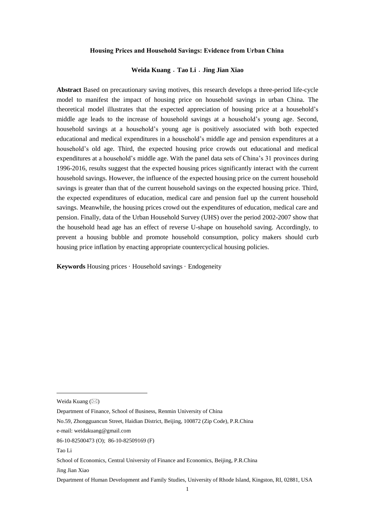#### **Housing Prices and Household Savings: Evidence from Urban China**

#### **Weida Kuang**﹒**Tao Li**﹒**Jing Jian Xiao**

**Abstract** Based on precautionary saving motives, this research develops a three-period life-cycle model to manifest the impact of housing price on household savings in urban China. The theoretical model illustrates that the expected appreciation of housing price at a household's middle age leads to the increase of household savings at a household's young age. Second, household savings at a household's young age is positively associated with both expected educational and medical expenditures in a household's middle age and pension expenditures at a household's old age. Third, the expected housing price crowds out educational and medical expenditures at a household's middle age. With the panel data sets of China's 31 provinces during 1996-2016, results suggest that the expected housing prices significantly interact with the current household savings. However, the influence of the expected housing price on the current household savings is greater than that of the current household savings on the expected housing price. Third, the expected expenditures of education, medical care and pension fuel up the current household savings. Meanwhile, the housing prices crowd out the expenditures of education, medical care and pension. Finally, data of the Urban Household Survey (UHS) over the period 2002-2007 show that the household head age has an effect of reverse U-shape on household saving. Accordingly, to prevent a housing bubble and promote household consumption, policy makers should curb housing price inflation by enacting appropriate countercyclical housing policies.

**Keywords** Housing prices ·Household savings ·Endogeneity

e-mail: [weidakuang@gmail.com](mailto:weidakuang@gmail.com)

Tao Li

-

Jing Jian Xiao

Department of Human Development and Family Studies, University of Rhode Island, Kingston, RI, 02881, USA

Weida Kuang  $(\boxtimes)$ 

Department of Finance, School of Business, Renmin University of China

No.59, Zhongguancun Street, Haidian District, Beijing, 100872 (Zip Code), P.R.China

<sup>86-10-82500473 (</sup>O); 86-10-82509169 (F)

School of Economics, Central University of Finance and Economics, Beijing, P.R.China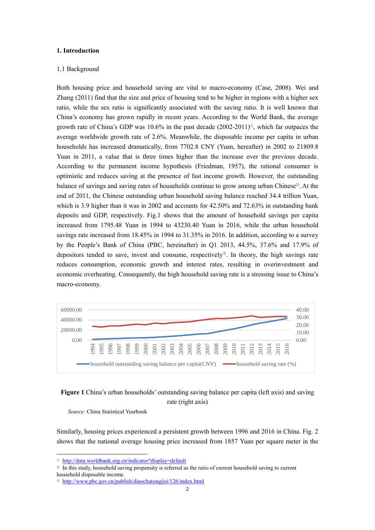#### **1. Introduction**

### 1.1 Background

Both housing price and household saving are vital to macro-economy (Case, 2008). Wei and Zhang (2011) find that the size and price of housing tend to be higher in regions with a higher sex ratio, while the sex ratio is significantly associated with the saving ratio. It is well known that China's economy has grown rapidly in recent years. According to the World Bank, the average growth rate of China's GDP was 10.6% in the past decade (2002-2011)①, which far outpaces the average worldwide growth rate of 2.6%. Meanwhile, the disposable income per capita in urban households has increased dramatically, from 7702.8 CNY (Yuan, hereafter) in 2002 to 21809.8 Yuan in 2011, a value that is three times higher than the increase over the previous decade. According to the permanent income hypothesis (Friedman, 1957), the rational consumer is optimistic and reduces saving at the presence of fast income growth. However, the outstanding balance of savings and saving rates of households continue to grow among urban Chinese<sup>®</sup>. At the end of 2011, the Chinese outstanding urban household saving balance reached 34.4 trillion Yuan, which is 3.9 higher than it was in 2002 and accounts for 42.50% and 72.63% in outstanding bank deposits and GDP, respectively. Fig.1 shows that the amount of household savings per capita increased from 1795.48 Yuan in 1994 to 43230.40 Yuan in 2016, while the urban household savings rate increased from 18.45% in 1994 to 31.35% in 2016. In addition, according to a survey by the People's Bank of China (PBC, hereinafter) in Q1 2013, 44.5%, 37.6% and 17.9% of depositors tended to save, invest and consume, respectively<sup>®</sup>. In theory, the high savings rate reduces consumption, economic growth and interest rates, resulting in overinvestment and economic overheating. Consequently, the high household saving rate is a stressing issue to China's macro-economy.



## **Figure 1** China's urban households' outstanding saving balance per capita (left axis) and saving rate (right axis)

*Source:* China Statistical Yearbook

-

Similarly, housing prices experienced a persistent growth between 1996 and 2016 in China. Fig. 2 shows that the national average housing price increased from 1857 Yuan per square meter in the

<sup>①</sup> <http://data.worldbank.org.cn/indicator?display=default>

<sup>②</sup> In this study, household saving propensity is referred as the ratio of current household saving to current household disposable income.

<sup>③</sup> <http://www.pbc.gov.cn/publish/diaochatongjisi/126/index.html>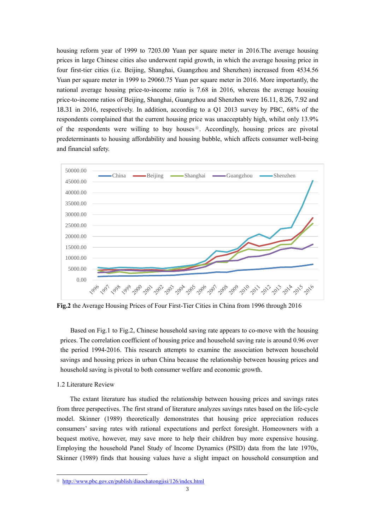housing reform year of 1999 to 7203.00 Yuan per square meter in 2016.The average housing prices in large Chinese cities also underwent rapid growth, in which the average housing price in four first-tier cities (i.e. Beijing, Shanghai, Guangzhou and Shenzhen) increased from 4534.56 Yuan per square meter in 1999 to 29060.75 Yuan per square meter in 2016. More importantly, the national average housing price-to-income ratio is 7.68 in 2016, whereas the average housing price-to-income ratios of Beijing, Shanghai, Guangzhou and Shenzhen were 16.11, 8.26, 7.92 and 18.31 in 2016, respectively. In addition, according to a Q1 2013 survey by PBC, 68% of the respondents complained that the current housing price was unacceptably high, whilst only 13.9% of the respondents were willing to buy houses  $\Phi$ . Accordingly, housing prices are pivotal predeterminants to housing affordability and housing bubble, which affects consumer well-being and financial safety.



**Fig.2** the Average Housing Prices of Four First-Tier Cities in China from 1996 through 2016

Based on Fig.1 to Fig.2, Chinese household saving rate appears to co-move with the housing prices. The correlation coefficient of housing price and household saving rate is around 0.96 over the period 1994-2016. This research attempts to examine the association between household savings and housing prices in urban China because the relationship between housing prices and household saving is pivotal to both consumer welfare and economic growth.

### 1.2 Literature Review

-

The extant literature has studied the relationship between housing prices and savings rates from three perspectives. The first strand of literature analyzes savings rates based on the life-cycle model. Skinner (1989) theoretically demonstrates that housing price appreciation reduces consumers' saving rates with rational expectations and perfect foresight. Homeowners with a bequest motive, however, may save more to help their children buy more expensive housing. Employing the household Panel Study of Income Dynamics (PSID) data from the late 1970s, Skinner (1989) finds that housing values have a slight impact on household consumption and

<sup>④</sup> <http://www.pbc.gov.cn/publish/diaochatongjisi/126/index.html>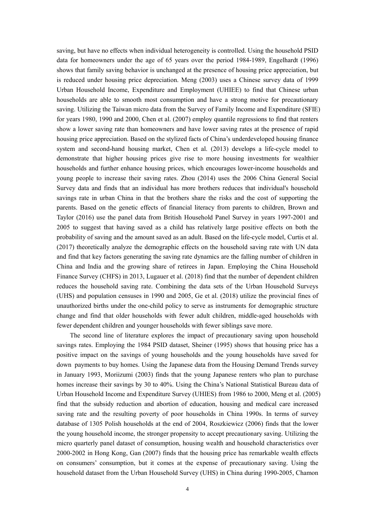saving, but have no effects when individual heterogeneity is controlled. Using the household PSID data for homeowners under the age of 65 years over the period 1984-1989, Engelhardt (1996) shows that family saving behavior is unchanged at the presence of housing price appreciation, but is reduced under housing price depreciation. Meng (2003) uses a Chinese survey data of 1999 Urban Household Income, Expenditure and Employment (UHIEE) to find that Chinese urban households are able to smooth most consumption and have a strong motive for precautionary saving. Utilizing the Taiwan micro data from the Survey of Family Income and Expenditure (SFIE) for years 1980, 1990 and 2000, Chen et al. (2007) employ quantile regressions to find that renters show a lower saving rate than homeowners and have lower saving rates at the presence of rapid housing price appreciation. Based on the stylized facts of China's underdeveloped housing finance system and second-hand housing market, Chen et al. (2013) develops a life-cycle model to demonstrate that higher housing prices give rise to more housing investments for wealthier households and further enhance housing prices, which encourages lower-income households and young people to increase their saving rates. Zhou (2014) uses the 2006 China General Social Survey data and finds that an individual has more brothers reduces that individual's household savings rate in urban China in that the brothers share the risks and the cost of supporting the parents. Based on the genetic effects of financial literacy from parents to children, Brown and Taylor (2016) use the panel data from British Household Panel Survey in years 1997-2001 and 2005 to suggest that having saved as a child has relatively large positive effects on both the probability of saving and the amount saved as an adult. Based on the life-cycle model, Curtis et al. (2017) theoretically analyze the demographic effects on the household saving rate with UN data and find that key factors generating the saving rate dynamics are the falling number of children in China and India and the growing share of retirees in Japan. Employing the China Household Finance Survey (CHFS) in 2013, Lugauer et al. (2018) find that the number of dependent children reduces the household saving rate. Combining the data sets of the Urban Household Surveys (UHS) and population censuses in 1990 and 2005, Ge et al. (2018) utilize the provincial fines of unauthorized births under the one-child policy to serve as instruments for demographic structure change and find that older households with fewer adult children, middle-aged households with fewer dependent children and younger households with fewer siblings save more.

The second line of literature explores the impact of precautionary saving upon household savings rates. Employing the 1984 PSID dataset, Sheiner (1995) shows that housing price has a positive impact on the savings of young households and the young households have saved for down payments to buy homes. Using the Japanese data from the Housing Demand Trends survey in January 1993, Moriizumi (2003) finds that the young Japanese renters who plan to purchase homes increase their savings by 30 to 40%. Using the China's National Statistical Bureau data of Urban Household Income and Expenditure Survey (UHIES) from 1986 to 2000, Meng et al. (2005) find that the subsidy reduction and abortion of education, housing and medical care increased saving rate and the resulting poverty of poor households in China 1990s. In terms of survey database of 1305 Polish households at the end of 2004, Roszkiewicz (2006) finds that the lower the young household income, the stronger propensity to accept precautionary saving. Utilizing the micro quarterly panel dataset of consumption, housing wealth and household characteristics over 2000-2002 in Hong Kong, Gan (2007) finds that the housing price has remarkable wealth effects on consumers' consumption, but it comes at the expense of precautionary saving. Using the household dataset from the Urban Household Survey (UHS) in China during 1990-2005, Chamon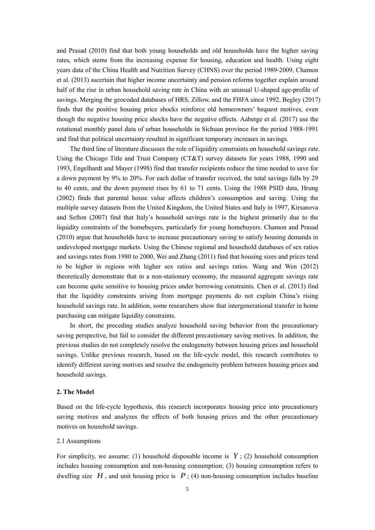and Prasad (2010) find that both young households and old households have the higher saving rates, which stems from the increasing expense for housing, education and health. Using eight years data of the China Health and Nutrition Survey (CHNS) over the period 1989-2009, Chamon et al. (2013) ascertain that higher income uncertainty and pension reforms together explain around half of the rise in urban household saving rate in China with an unusual U-shaped age-profile of savings. Merging the geocoded databases of HRS, Zillow, and the FHFA since 1992, Begley (2017) finds that the positive housing price shocks reinforce old homeowners' bequest motives, even though the negative housing price shocks have the negative effects. Aaberge et al. (2017) use the rotational monthly panel data of urban households in Sichuan province for the period 1988-1991 and find that political uncertainty resulted in significant temporary increases in savings.

The third line of literature discusses the role of liquidity constraints on household savings rate. Using the Chicago Title and Trust Company (CT&T) survey datasets for years 1988, 1990 and 1993, Engelhardt and Mayer (1998) find that transfer recipients reduce the time needed to save for a down payment by 9% to 20%. For each dollar of transfer received, the total savings falls by 29 to 40 cents, and the down payment rises by 61 to 71 cents. Using the 1988 PSID data, Hrung (2002) finds that parental house value affects children's consumption and saving. Using the multiple survey datasets from the United Kingdom, the United States and Italy in 1997, Kirsanova and Sefton (2007) find that Italy's household savings rate is the highest primarily due to the liquidity constraints of the homebuyers, particularly for young homebuyers. Chamon and Prasad (2010) argue that households have to increase precautionary saving to satisfy housing demands in undeveloped mortgage markets. Using the Chinese regional and household databases of sex ratios and savings rates from 1980 to 2000, Wei and Zhang (2011) find that housing sizes and prices tend to be higher in regions with higher sex ratios and savings ratios. Wang and Wen (2012) theoretically demonstrate that in a non-stationary economy, the measured aggregate savings rate can become quite sensitive to housing prices under borrowing constraints. Chen et al. (2013) find that the liquidity constraints arising from mortgage payments do not explain China's rising household savings rate. In addition, some researchers show that intergenerational transfer in home purchasing can mitigate liquidity constraints.

In short, the preceding studies analyze household saving behavior from the precautionary saving perspective, but fail to consider the different precautionary saving motives. In addition, the previous studies do not completely resolve the endogeneity between housing prices and household savings. Unlike previous research, based on the life-cycle model, this research contributes to identify different saving motives and resolve the endogeneity problem between housing prices and household savings.

### **2. The Model**

Based on the life-cycle hypothesis, this research incorporates housing price into precautionary saving motives and analyzes the effects of both housing prices and the other precautionary motives on household savings.

#### 2.1 Assumptions

For simplicity, we assume: (1) household disposable income is  $Y$ ; (2) household consumption includes housing consumption and non-housing consumption; (3) housing consumption refers to dwelling size  $H$ , and unit housing price is  $P$ ; (4) non-housing consumption includes baseline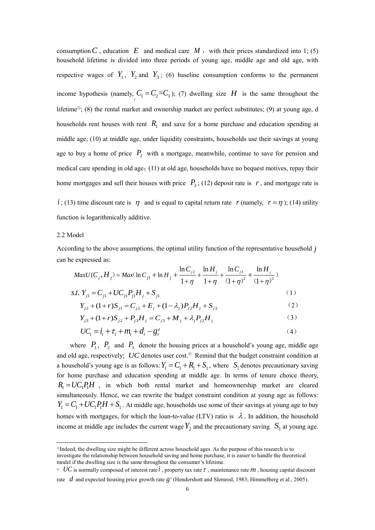consumption  $C$ , education  $E$  and medical care  $M$ , with their prices standardized into 1; (5) household lifetime is divided into three periods of young age, middle age and old age, with respective wages of  $Y_1$ ,  $Y_2$  and  $Y_3$ ; (6) baseline consumption conforms to the permanent income hypothesis (namely,  $C_1 = C_2 = C_3$ ); (7) dwelling size *H* is the same throughout the lifetime⑤; (8) the rental market and ownership market are perfect substitutes; (9) at young age, d households rent houses with rent  $R_1$  and save for a home purchase and education spending at middle age; (10) at middle age, under liquidity constraints, households use their savings at young age to buy a home of price  $P_2$  with a mortgage, meanwhile, continue to save for pension and medical care spending in old age;(11) at old age, households have no bequest motives, repay their home mortgages and sell their houses with price  $P_3$ ; (12) deposit rate is  $r$ , and mortgage rate is

 $i$ ; (13) time discount rate is  $\eta$  and is equal to capital return rate r (namely,  $r = \eta$ ); (14) utility function is logarithmically additive.

## 2.2 Model

<u>.</u>

According to the above assumptions, the optimal utility function of the representative household *j* can be expressed as:

$$
MaxU(C_j, H_j) = Max(\ln C_{j1} + \ln H_j + \frac{\ln C_{j2}}{1 + \eta} + \frac{\ln H_j}{1 + \eta} + \frac{\ln C_{j3}}{(1 + \eta)^2} + \frac{\ln H_j}{(1 + \eta)^2})
$$
  
s.t.  $Y_{j1} = C_{j1} + UC_{j1}P_{j1}H_j + S_{j1}$  (1)  

$$
Y_{j1} + (1 + r)S_{j1} = C_{j1} + F_{j1} + (1 + r)S_{j1} + F_{j1} + S_{j1}
$$
 (2)

$$
Y_{j2} + (1+r)S_{j1} = C_{j2} + E_j + (1-\lambda_j)P_{j2}H_j + S_{j2}
$$
 (2)

$$
Y_{j3} + (1+r)S_{j2} + P_{j3}H_j = C_{j3} + M_j + \lambda_j P_{j2}H_j
$$
 (3)

$$
UC_t = \dot{i}_t + \tau_t + m_t + d_t - g_t^e \tag{4}
$$

where  $P_1$ ,  $P_2$  and  $P_3$  denote the housing prices at a household's young age, middle age and old age, respectively; UC denotes user cost.<sup>®</sup> Remind that the budget constraint condition at a household's young age is as follows:  $Y_1 = C_1 + R_1 + S_1$ , where  $S_1$  denotes precautionary saving for home purchase and education spending at middle age. In terms of tenure choice theory,  $R_1 = UC_1P_1H$ , in which both rental market and homeownership market are cleared simultaneously. Hence, we can rewrite the budget constraint condition at young age as follows:  $Y_1 = C_1 + UC_1P_1H + S_1$ . At middle age, households use some of their savings at young age to buy homes with mortgages, for which the loan-to-value (LTV) ratio is  $\lambda$ . In addition, the household income at middle age includes the current wage  $Y_2$  and the precautionary saving  $S_1$  at young age.

<sup>⑤</sup>Indeed, the dwelling size might be different across household ages. As the purpose of this research is to investigate the relationship between household saving and home purchase, it is easier to handle the theoretical model if the dwelling size is the same throughout the consumer's lifetime.

 $\degree$  *UC* is normally composed of interest rate *i*, property tax rate  $\tau$ , maintenance rate  $m$ , housing capital discount rate *d* and expected housing price growth rate  $g^e$  (Hendershott and Slemrod, 1983; Himmelberg et al., 2005).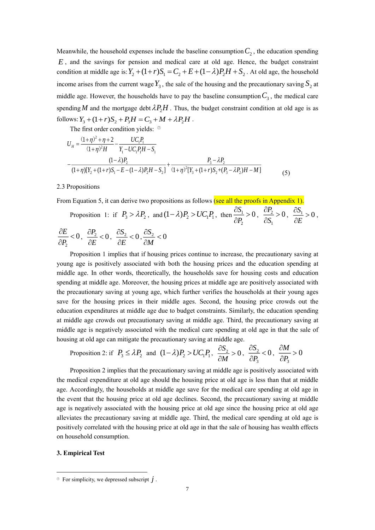Meanwhile, the household expenses include the baseline consumption  $C_2$ , the education spending *E* , and the savings for pension and medical care at old age. Hence, the budget constraint condition at middle age is:  $Y_2 + (1+r)S_1 = C_2 + E + (1-\lambda)P_2H + S_2$ . At old age, the household income arises from the current wage  $Y_3$ , the sale of the housing and the precautionary saving  $S_2$  at middle age. However, the households have to pay the baseline consumption  $C_3$ , the medical care spending M and the mortgage debt  $\lambda P_2H$ . Thus, the budget constraint condition at old age is as follows:  $Y_3 + (1+r)S_2 + P_3H = C_3 + M + \lambda P_2H$ .

The first order condition yields: <sup>⑦</sup>

$$
U_{H} = \frac{(1+\eta)^{2} + \eta + 2}{(1+\eta)^{2}H} - \frac{UC_{1}P_{1}}{Y_{1} - UC_{1}P_{1}H - S_{1}}
$$
  
 
$$
-\frac{(1-\lambda)P_{2}}{(1+\eta)[Y_{2} + (1+r)S_{1} - E - (1-\lambda)P_{2}H - S_{2}]} + \frac{P_{3} - \lambda P_{2}}{(1+\eta)^{2}[Y_{3} + (1+r)S_{2} + (P_{3} - \lambda P_{2})H - M]}
$$
(5)

2.3 Propositions

From Equation 5, it can derive two propositions as follows (see all the proofs in Appendix 1).

Proposition 1: if 
$$
P_3 > \lambda P_2
$$
, and  $(1 - \lambda)P_2 > UC_1P_1$ , then  $\frac{\partial S_1}{\partial P_2} > 0$ ,  $\frac{\partial P_2}{\partial S_1} > 0$ ,  $\frac{\partial S_1}{\partial E} > 0$ ,  
 $\frac{\partial E}{\partial P_2} < 0$ ,  $\frac{\partial P_2}{\partial E} < 0$ ,  $\frac{\partial S_2}{\partial E} < 0$ ,  $\frac{\partial S_2}{\partial M} < 0$ 

Proposition 1 implies that if housing prices continue to increase, the precautionary saving at young age is positively associated with both the housing prices and the education spending at middle age. In other words, theoretically, the households save for housing costs and education spending at middle age. Moreover, the housing prices at middle age are positively associated with the precautionary saving at young age, which further verifies the households at their young ages save for the housing prices in their middle ages. Second, the housing price crowds out the education expenditures at middle age due to budget constraints. Similarly, the education spending at middle age crowds out precautionary saving at middle age. Third, the precautionary saving at middle age is negatively associated with the medical care spending at old age in that the sale of housing at old age can mitigate the precautionary saving at middle age.

Proposition 2: if 
$$
P_3 \le \lambda P_2
$$
 and  $(1-\lambda)P_2 > UC_1P_1$ ,  $\frac{\partial S_2}{\partial M} > 0$ ,  $\frac{\partial S_2}{\partial P_3} < 0$ ,  $\frac{\partial M}{\partial P_3} > 0$ 

Proposition 2 implies that the precautionary saving at middle age is positively associated with the medical expenditure at old age should the housing price at old age is less than that at middle age. Accordingly, the households at middle age save for the medical care spending at old age in the event that the housing price at old age declines. Second, the precautionary saving at middle age is negatively associated with the housing price at old age since the housing price at old age alleviates the precautionary saving at middle age. Third, the medical care spending at old age is positively correlated with the housing price at old age in that the sale of housing has wealth effects on household consumption.

### **3. Empirical Test**

<u>.</u>

 $\circledcirc$  For simplicity, we depressed subscript  $j$ .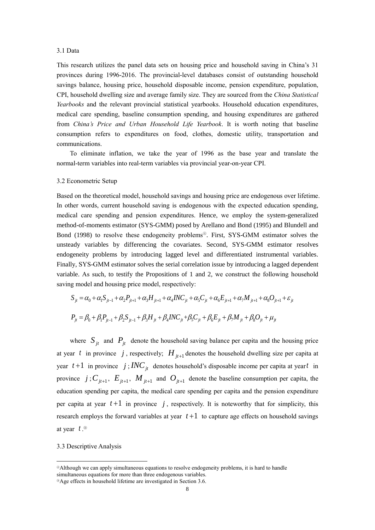#### 3.1 Data

This research utilizes the panel data sets on housing price and household saving in China's 31 provinces during 1996-2016. The provincial-level databases consist of outstanding household savings balance, housing price, household disposable income, pension expenditure, population, CPI, household dwelling size and average family size. They are sourced from the *China Statistical Yearbooks* and the relevant provincial statistical yearbooks. Household education expenditures, medical care spending, baseline consumption spending, and housing expenditures are gathered from *China's Price and Urban Household Life Yearbook*. It is worth noting that baseline consumption refers to expenditures on food, clothes, domestic utility, transportation and communications.

To eliminate inflation, we take the year of 1996 as the base year and translate the normal-term variables into real-term variables via provincial year-on-year CPI.

#### 3.2 Econometric Setup

Based on the theoretical model, household savings and housing price are endogenous over lifetime. In other words, current household saving is endogenous with the expected education spending, medical care spending and pension expenditures. Hence, we employ the system-generalized method-of-moments estimator (SYS-GMM) posed by Arellano and Bond (1995) and Blundell and Bond (1998) to resolve these endogeneity problems <sup>⑧</sup>. First, SYS-GMM estimator solves the unsteady variables by differencing the covariates. Second, SYS-GMM estimator resolves endogeneity problems by introducing lagged level and differentiated instrumental variables. Finally, SYS-GMM estimator solves the serial correlation issue by introducing a lagged dependent variable. As such, to testify the Propositions of 1 and 2, we construct the following household saving model and housing price model, respectively:

$$
S_{ji} = \alpha_0 + \alpha_1 S_{ji-1} + \alpha_2 P_{ji+1} + \alpha_3 H_{ji+1} + \alpha_4 INC_{ji} + \alpha_5 C_{ji} + \alpha_6 E_{ji+1} + \alpha_7 M_{ji+1} + \alpha_8 O_{ji+1} + \varepsilon_{ji}
$$
  

$$
P_{ji} = \beta_0 + \beta_1 P_{ji-1} + \beta_2 S_{ji-1} + \beta_3 H_{ji} + \beta_4 INC_{ji} + \beta_5 C_{ji} + \beta_6 E_{ji} + \beta_7 M_{ji} + \beta_8 O_{ji} + \mu_{ji}
$$

where  $S_{jt}$  and  $P_{jt}$  denote the household saving balance per capita and the housing price at year t in province j, respectively;  $H_{j+1}$  denotes the household dwelling size per capita at year  $t+1$  in province  $j$ ;  $INC<sub>jt</sub>$  denotes household's disposable income per capita at year t in province  $j$ ;  $C_{j}$ <sub>*jt*+1</sub>,  $E_{j}$ <sub>*jt*+1</sub>,  $M_{j}$ <sub>*jt*+1</sub> and  $O_{j}$ <sub>*t*+1</sub> denote the baseline consumption per capita, the education spending per capita, the medical care spending per capita and the pension expenditure per capita at year  $t+1$  in province  $j$ , respectively. It is noteworthy that for simplicity, this research employs the forward variables at year  $t+1$  to capture age effects on household savings at year *t* . ⑨

3.3 Descriptive Analysis

-

<sup>⑧</sup>Although we can apply simultaneous equations to resolve endogeneity problems, it is hard to handle simultaneous equations for more than three endogenous variables.

⑨Age effects in household lifetime are investigated in Section 3.6.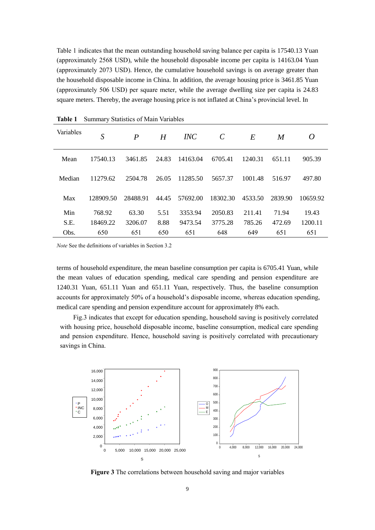Table 1 indicates that the mean outstanding household saving balance per capita is 17540.13 Yuan (approximately 2568 USD), while the household disposable income per capita is 14163.04 Yuan (approximately 2073 USD). Hence, the cumulative household savings is on average greater than the household disposable income in China. In addition, the average housing price is 3461.85 Yuan (approximately 506 USD) per square meter, while the average dwelling size per capita is 24.83 square meters. Thereby, the average housing price is not inflated at China's provincial level. In

| Variables | S         | $\boldsymbol{P}$ | H     | INC      | $\mathcal{C}$ | E       | M       | 0        |
|-----------|-----------|------------------|-------|----------|---------------|---------|---------|----------|
| Mean      | 17540.13  | 3461.85          | 24.83 | 14163.04 | 6705.41       | 1240.31 | 651.11  | 905.39   |
| Median    | 11279.62  | 2504.78          | 26.05 | 11285.50 | 5657.37       | 1001.48 | 516.97  | 497.80   |
| Max       | 128909.50 | 28488.91         | 44.45 | 57692.00 | 18302.30      | 4533.50 | 2839.90 | 10659.92 |
| Min       | 768.92    | 63.30            | 5.51  | 3353.94  | 2050.83       | 211.41  | 71.94   | 19.43    |
| S.E.      | 18469.22  | 3206.07          | 8.88  | 9473.54  | 3775.28       | 785.26  | 472.69  | 1200.11  |
| Obs.      | 650       | 651              | 650   | 651      | 648           | 649     | 651     | 651      |

**Table 1** Summary Statistics of Main Variables

*Note* See the definitions of variables in Section 3.2

terms of household expenditure, the mean baseline consumption per capita is 6705.41 Yuan, while the mean values of education spending, medical care spending and pension expenditure are 1240.31 Yuan, 651.11 Yuan and 651.11 Yuan, respectively. Thus, the baseline consumption accounts for approximately 50% of a household's disposable income, whereas education spending, medical care spending and pension expenditure account for approximately 8% each.

Fig.3 indicates that except for education spending, household saving is positively correlated with housing price, household disposable income, baseline consumption, medical care spending and pension expenditure. Hence, household saving is positively correlated with precautionary savings in China.



**Figure 3** The correlations between household saving and major variables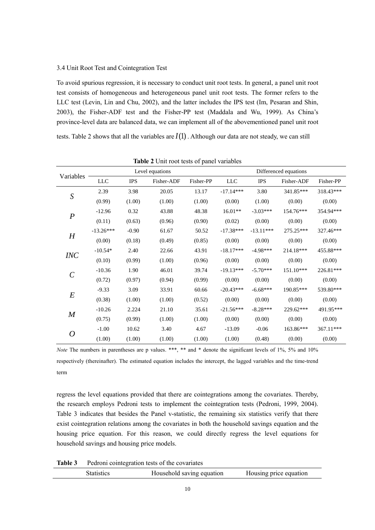### 3.4 Unit Root Test and Cointegration Test

To avoid spurious regression, it is necessary to conduct unit root tests. In general, a panel unit root test consists of homogeneous and heterogeneous panel unit root tests. The former refers to the LLC test (Levin, Lin and Chu, 2002), and the latter includes the IPS test (Im, Pesaran and Shin, 2003), the Fisher-ADF test and the Fisher-PP test (Maddala and Wu, 1999). As China's province-level data are balanced data, we can implement all of the abovementioned panel unit root

tests. Table 2 shows that all the variables are  $I(1)$ . Although our data are not steady, we can still

|                  |             | Level equations |            |           | Differenced equations |             |             |           |
|------------------|-------------|-----------------|------------|-----------|-----------------------|-------------|-------------|-----------|
| Variables        | $LLC$       | <b>IPS</b>      | Fisher-ADF | Fisher-PP | <b>LLC</b>            | <b>IPS</b>  | Fisher-ADF  | Fisher-PP |
| ${\cal S}$       | 2.39        | 3.98            | 20.05      | 13.17     | $-17.14***$           | 3.80        | 341.85***   | 318.43*** |
|                  | (0.99)      | (1.00)          | (1.00)     | (1.00)    | (0.00)                | (1.00)      | (0.00)      | (0.00)    |
|                  | $-12.96$    | 0.32            | 43.88      | 48.38     | $16.01**$             | $-3.03***$  | 154.76***   | 354.94*** |
| $\boldsymbol{P}$ | (0.11)      | (0.63)          | (0.96)     | (0.90)    | (0.02)                | (0.00)      | (0.00)      | (0.00)    |
|                  | $-13.26***$ | $-0.90$         | 61.67      | 50.52     | $-17.38***$           | $-13.11***$ | 275.25***   | 327.46*** |
| $H_{\rm}$        | (0.00)      | (0.18)          | (0.49)     | (0.85)    | (0.00)                | (0.00)      | (0.00)      | (0.00)    |
| <b>INC</b>       | $-10.54*$   | 2.40            | 22.66      | 43.91     | $-18.17***$           | $-4.98***$  | 214.18***   | 455.88*** |
|                  | (0.10)      | (0.99)          | (1.00)     | (0.96)    | (0.00)                | (0.00)      | (0.00)      | (0.00)    |
|                  | $-10.36$    | 1.90            | 46.01      | 39.74     | $-19.13***$           | $-5.70***$  | $151.10***$ | 226.81*** |
| $\mathcal C$     | (0.72)      | (0.97)          | (0.94)     | (0.99)    | (0.00)                | (0.00)      | (0.00)      | (0.00)    |
|                  | $-9.33$     | 3.09            | 33.91      | 60.66     | $-20.43***$           | $-6.68***$  | 190.85***   | 539.80*** |
| $\boldsymbol{E}$ | (0.38)      | (1.00)          | (1.00)     | (0.52)    | (0.00)                | (0.00)      | (0.00)      | (0.00)    |
|                  | $-10.26$    | 2.224           | 21.10      | 35.61     | $-21.56***$           | $-8.28***$  | 229.62***   | 491.95*** |
| $\boldsymbol{M}$ | (0.75)      | (0.99)          | (1.00)     | (1.00)    | (0.00)                | (0.00)      | (0.00)      | (0.00)    |
| $\boldsymbol{O}$ | $-1.00$     | 10.62           | 3.40       | 4.67      | $-13.09$              | $-0.06$     | 163.86***   | 367.11*** |
|                  | (1.00)      | (1.00)          | (1.00)     | (1.00)    | (1.00)                | (0.48)      | (0.00)      | (0.00)    |

**Table 2** Unit root tests of panel variables

*Note* The numbers in parentheses are p values. \*\*\*, \*\* and \* denote the significant levels of 1%, 5% and 10% respectively (thereinafter). The estimated equation includes the intercept, the lagged variables and the time-trend term

regress the level equations provided that there are cointegrations among the covariates. Thereby, the research employs Pedroni tests to implement the cointegration tests (Pedroni, 1999, 2004). Table 3 indicates that besides the Panel v-statistic, the remaining six statistics verify that there exist cointegration relations among the covariates in both the household savings equation and the housing price equation. For this reason, we could directly regress the level equations for household savings and housing price models.

**Table 3** Pedroni cointegration tests of the covariates

| Statistics | Household saving equation | Housing price equation |
|------------|---------------------------|------------------------|
|            |                           |                        |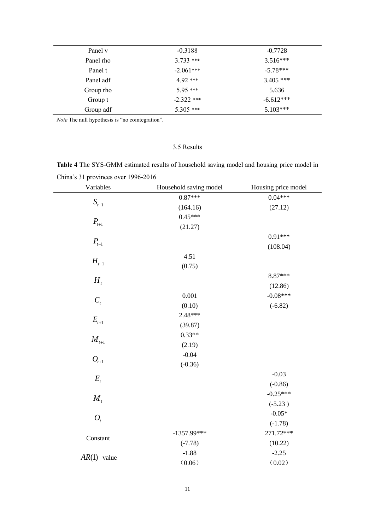| Panel v   | $-0.3188$    | $-0.7728$   |
|-----------|--------------|-------------|
| Panel rho | $3.733$ ***  | $3.516***$  |
| Panel t   | $-2.061***$  | $-5.78***$  |
| Panel adf | 4 92 ***     | $3.405$ *** |
| Group rho | $5.95***$    | 5.636       |
| Group t   | $-2.322$ *** | $-6.612***$ |
| Group adf | $5.305$ ***  | $5.103***$  |

*Note* The null hypothesis is "no cointegration".

## 3.5 Results

|                                     | <b>Table 4</b> The SYS-GMM estimated results of household saving model and housing price model in |  |  |  |
|-------------------------------------|---------------------------------------------------------------------------------------------------|--|--|--|
| China's 31 provinces over 1996-2016 |                                                                                                   |  |  |  |

| Variables      | Household saving model | Housing price model |
|----------------|------------------------|---------------------|
|                | $0.87***$              | $0.04***$           |
| $S_{t-1}$      | (164.16)               | (27.12)             |
|                | $0.45***$              |                     |
| $P_{t+1}$      | (21.27)                |                     |
|                |                        | $0.91***$           |
| $P_{t-1}$      |                        | (108.04)            |
|                | 4.51                   |                     |
| $H_{t+1}$      | (0.75)                 |                     |
|                |                        | 8.87***             |
| $H_{t}$        |                        | (12.86)             |
|                | 0.001                  | $-0.08***$          |
| $C_{t}$        | (0.10)                 | $(-6.82)$           |
|                | 2.48***                |                     |
| $E_{t+1}$      | (39.87)                |                     |
| $M_{t+1}$      | $0.33**$               |                     |
|                | (2.19)                 |                     |
|                | $-0.04$                |                     |
| $O_{t+1}$      | $(-0.36)$              |                     |
| $E_{t}$        |                        | $-0.03$             |
|                |                        | $(-0.86)$           |
| $M_{t}$        |                        | $-0.25***$          |
|                |                        | $(-5.23)$           |
| $O_t$          |                        | $-0.05*$            |
|                |                        | $(-1.78)$           |
| Constant       | $-1357.99***$          | 271.72***           |
|                | $(-7.78)$              | (10.22)             |
| AR(1)<br>value | $-1.88$                | $-2.25$             |
|                | (0.06)                 | (0.02)              |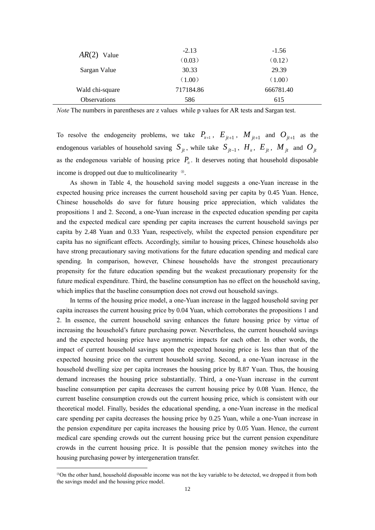| $AR(2)$ Value       | $-2.13$   | $-1.56$   |
|---------------------|-----------|-----------|
|                     | (0.03)    | (0.12)    |
| Sargan Value        | 30.33     | 29.39     |
|                     | (1.00)    | (1.00)    |
| Wald chi-square     | 717184.86 | 666781.40 |
| <b>Observations</b> | 586       | 615       |

*Note* The numbers in parentheses are z values while p values for AR tests and Sargan test.

To resolve the endogeneity problems, we take  $P_{i}$ ,  $E_{j}$ ,  $H_{j}$ ,  $M_{j+1}$  and  $O_{j+1}$  as the endogenous variables of household saving  $S_{jt}$ , while take  $S_{jt-1}$ ,  $H_i$ ,  $E_{jt}$ ,  $M_{jt}$  and  $O_{jt}$ as the endogenous variable of housing price  $P_{\mu}$ . It deserves noting that household disposable income is dropped out due to multicolinearity <sup>⑩</sup>.

As shown in Table 4, the household saving model suggests a one-Yuan increase in the expected housing price increases the current household saving per capita by 0.45 Yuan. Hence, Chinese households do save for future housing price appreciation, which validates the propositions 1 and 2. Second, a one-Yuan increase in the expected education spending per capita and the expected medical care spending per capita increases the current household savings per capita by 2.48 Yuan and 0.33 Yuan, respectively, whilst the expected pension expenditure per capita has no significant effects. Accordingly, similar to housing prices, Chinese households also have strong precautionary saving motivations for the future education spending and medical care spending. In comparison, however, Chinese households have the strongest precautionary propensity for the future education spending but the weakest precautionary propensity for the future medical expenditure. Third, the baseline consumption has no effect on the household saving, which implies that the baseline consumption does not crowd out household savings.

In terms of the housing price model, a one-Yuan increase in the lagged household saving per capita increases the current housing price by 0.04 Yuan, which corroborates the propositions 1 and 2. In essence, the current household saving enhances the future housing price by virtue of increasing the household's future purchasing power. Nevertheless, the current household savings and the expected housing price have asymmetric impacts for each other. In other words, the impact of current household savings upon the expected housing price is less than that of the expected housing price on the current household saving. Second, a one-Yuan increase in the household dwelling size per capita increases the housing price by 8.87 Yuan. Thus, the housing demand increases the housing price substantially. Third, a one-Yuan increase in the current baseline consumption per capita decreases the current housing price by 0.08 Yuan. Hence, the current baseline consumption crowds out the current housing price, which is consistent with our theoretical model. Finally, besides the educational spending, a one-Yuan increase in the medical care spending per capita decreases the housing price by 0.25 Yuan, while a one-Yuan increase in the pension expenditure per capita increases the housing price by 0.05 Yuan. Hence, the current medical care spending crowds out the current housing price but the current pension expenditure crowds in the current housing price. It is possible that the pension money switches into the housing purchasing power by intergeneration transfer.

<u>.</u>

<sup>⑩</sup>On the other hand, household disposable income was not the key variable to be detected, we dropped it from both the savings model and the housing price model.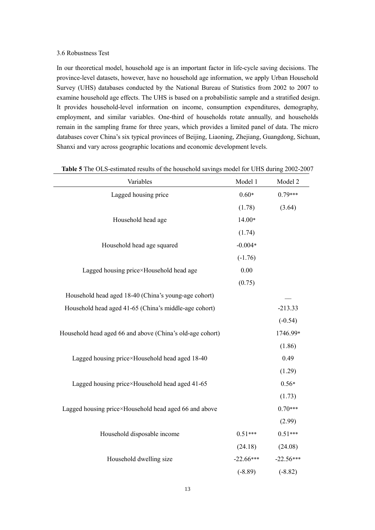## 3.6 Robustness Test

In our theoretical model, household age is an important factor in life-cycle saving decisions. The province-level datasets, however, have no household age information, we apply Urban Household Survey (UHS) databases conducted by the National Bureau of Statistics from 2002 to 2007 to examine household age effects. The UHS is based on a probabilistic sample and a stratified design. It provides household-level information on income, consumption expenditures, demography, employment, and similar variables. One-third of households rotate annually, and households remain in the sampling frame for three years, which provides a limited panel of data. The micro databases cover China's six typical provinces of Beijing, Liaoning, Zhejiang, Guangdong, Sichuan, Shanxi and vary across geographic locations and economic development levels.

| Variables                                                 | Model 1     | Model 2     |
|-----------------------------------------------------------|-------------|-------------|
| Lagged housing price                                      | $0.60*$     | $0.79***$   |
|                                                           | (1.78)      | (3.64)      |
| Household head age                                        | 14.00*      |             |
|                                                           | (1.74)      |             |
| Household head age squared                                | $-0.004*$   |             |
|                                                           | $(-1.76)$   |             |
| Lagged housing price×Household head age                   | 0.00        |             |
|                                                           | (0.75)      |             |
| Household head aged 18-40 (China's young-age cohort)      |             |             |
| Household head aged 41-65 (China's middle-age cohort)     |             | $-213.33$   |
|                                                           |             | $(-0.54)$   |
| Household head aged 66 and above (China's old-age cohort) |             | 1746.99*    |
|                                                           |             | (1.86)      |
| Lagged housing price×Household head aged 18-40            |             | 0.49        |
|                                                           |             | (1.29)      |
| Lagged housing price×Household head aged 41-65            |             | $0.56*$     |
|                                                           |             | (1.73)      |
| Lagged housing price×Household head aged 66 and above     |             | $0.70***$   |
|                                                           |             | (2.99)      |
| Household disposable income                               | $0.51***$   | $0.51***$   |
|                                                           | (24.18)     | (24.08)     |
| Household dwelling size                                   | $-22.66***$ | $-22.56***$ |
|                                                           | $(-8.89)$   | $(-8.82)$   |

**Table 5** The OLS-estimated results of the household savings model for UHS during 2002-2007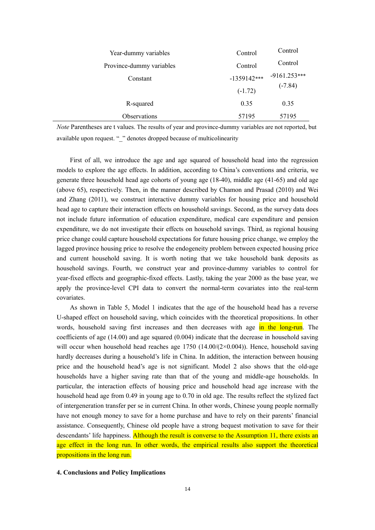| Year-dummy variables     | Control   | Control                      |
|--------------------------|-----------|------------------------------|
| Province-dummy variables | Control   | Control                      |
| Constant                 |           | $-1359142***$ $-9161.253***$ |
|                          | $(-1.72)$ | $(-7.84)$                    |
| R-squared                | 0.35      | 0.35                         |
| Observations             | 57195     | 57195                        |

*Note* Parentheses are t values. The results of year and province-dummy variables are not reported, but available upon request. " " denotes dropped because of multicolinearity

First of all, we introduce the age and age squared of household head into the regression models to explore the age effects. In addition, according to China's conventions and criteria, we generate three household head age cohorts of young age (18-40), middle age (41-65) and old age (above 65), respectively. Then, in the manner described by Chamon and Prasad (2010) and Wei and Zhang (2011), we construct interactive dummy variables for housing price and household head age to capture their interaction effects on household savings. Second, as the survey data does not include future information of education expenditure, medical care expenditure and pension expenditure, we do not investigate their effects on household savings. Third, as regional housing price change could capture household expectations for future housing price change, we employ the lagged province housing price to resolve the endogeneity problem between expected housing price and current household saving. It is worth noting that we take household bank deposits as household savings. Fourth, we construct year and province-dummy variables to control for year-fixed effects and geographic-fixed effects. Lastly, taking the year 2000 as the base year, we apply the province-level CPI data to convert the normal-term covariates into the real-term covariates.

As shown in Table 5, Model 1 indicates that the age of the household head has a reverse U-shaped effect on household saving, which coincides with the theoretical propositions. In other words, household saving first increases and then decreases with age in the long-run. The coefficients of age (14.00) and age squared (0.004) indicate that the decrease in household saving will occur when household head reaches age 1750 (14.00/(2×0.004)). Hence, household saving hardly decreases during a household's life in China. In addition, the interaction between housing price and the household head's age is not significant. Model 2 also shows that the old-age households have a higher saving rate than that of the young and middle-age households. In particular, the interaction effects of housing price and household head age increase with the household head age from 0.49 in young age to 0.70 in old age. The results reflect the stylized fact of intergeneration transfer per se in current China. In other words, Chinese young people normally have not enough money to save for a home purchase and have to rely on their parents' financial assistance. Consequently, Chinese old people have a strong bequest motivation to save for their descendants' life happiness. Although the result is converse to the Assumption 11, there exists an age effect in the long run. In other words, the empirical results also support the theoretical propositions in the long run.

### **4. Conclusions and Policy Implications**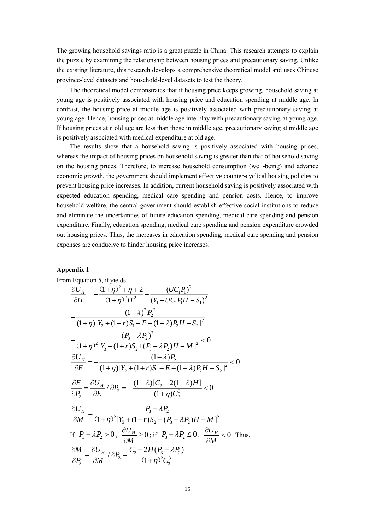The growing household savings ratio is a great puzzle in China. This research attempts to explain the puzzle by examining the relationship between housing prices and precautionary saving. Unlike the existing literature, this research develops a comprehensive theoretical model and uses Chinese province-level datasets and household-level datasets to test the theory.

The theoretical model demonstrates that if housing price keeps growing, household saving at young age is positively associated with housing price and education spending at middle age. In contrast, the housing price at middle age is positively associated with precautionary saving at young age. Hence, housing prices at middle age interplay with precautionary saving at young age. If housing prices at n old age are less than those in middle age, precautionary saving at middle age is positively associated with medical expenditure at old age.

The results show that a household saving is positively associated with housing prices, whereas the impact of housing prices on household saving is greater than that of household saving on the housing prices. Therefore, to increase household consumption (well-being) and advance economic growth, the government should implement effective counter-cyclical housing policies to prevent housing price increases. In addition, current household saving is positively associated with expected education spending, medical care spending and pension costs. Hence, to improve household welfare, the central government should establish effective social institutions to reduce and eliminate the uncertainties of future education spending, medical care spending and pension expenditure. Finally, education spending, medical care spending and pension expenditure crowded out housing prices. Thus, the increases in education spending, medical care spending and pension expenses are conducive to hinder housing price increases.

## **Appendix 1**

From Equation 5, it yields:  
\n
$$
\frac{\partial U_H}{\partial H} = -\frac{(1+\eta)^2 + \eta + 2}{(1+\eta)^2 H^2} - \frac{(UC_1P_1)^2}{(Y_1 - UC_1P_1H - S_1)^2}
$$
\n
$$
-\frac{(1-\lambda)^2 P_2^2}{(1+\eta)[Y_2 + (1+r)S_1 - E - (1-\lambda)P_2H - S_2]^2}
$$
\n
$$
-\frac{(P_3 - \lambda P_2)^2}{(1+\eta)^2[Y_3 + (1+r)S_2 + (P_3 - \lambda P_2)H - M]^2} < 0
$$
\n
$$
\frac{\partial U_H}{\partial E} = -\frac{(1-\lambda)P_2}{(1+\eta)[Y_2 + (1+r)S_1 - E - (1-\lambda)P_2H - S_2]^2} < 0
$$
\n
$$
\frac{\partial E}{\partial P_2} = \frac{\partial U_H}{\partial E} / \partial P_2 = -\frac{(1-\lambda)[C_2 + 2(1-\lambda)H]}{(1+\eta)C_2^3} < 0
$$
\n
$$
\frac{\partial U_H}{\partial M} = \frac{P_3 - \lambda P_2}{(1+\eta)^2[Y_3 + (1+r)S_2 + (P_3 - \lambda P_2)H - M]^2}
$$
\nIf  $P_3 - \lambda P_2 > 0$ ,  $\frac{\partial U_H}{\partial M} \ge 0$ ; if  $P_3 - \lambda P_2 \le 0$ ,  $\frac{\partial U_H}{\partial M} < 0$ . Thus,  
\n
$$
\frac{\partial M}{\partial P_3} = \frac{\partial U_H}{\partial M} / \partial P_3 = \frac{C_3 - 2H(P_3 - \lambda P_2)}{(1+\eta)^2 C_3^3}
$$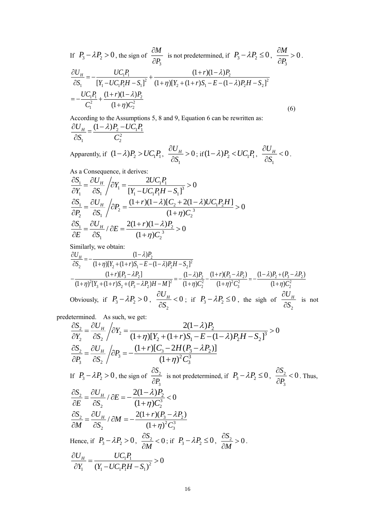If 
$$
P_3 - \lambda P_2 > 0
$$
, the sign of  $\frac{\partial M}{\partial P_3}$  is not predetermined, if  $P_3 - \lambda P_2 \le 0$ ,  $\frac{\partial M}{\partial P_3} > 0$ .  
\n
$$
\frac{\partial U_H}{\partial S_1} = -\frac{UC_1P_1}{[Y_1 - UC_1P_1H - S_1]^2} + \frac{(1+r)(1-\lambda)P_2}{(1+\eta)[Y_2 + (1+r)S_1 - E - (1-\lambda)P_2H - S_2]^2}
$$
\n
$$
= -\frac{UC_1P_1}{C_1^2} + \frac{(1+r)(1-\lambda)P_2}{(1+\eta)C_2^2}
$$
\n(6)

According to the Assumptions 5, 8 and 9, Equation 6 can be rewritten as: 2  $\cup$   $\cup$ <sup>1</sup> 1 2  $1 \quad 2$  $\frac{U_{H}}{U_{H}} = \frac{(1 - \lambda)P_{2} - UC_{1}P_{1}}{2}$ *S C*  $\partial U_{\mu}$   $(1-\lambda)P_{2}$  – д

Apparently, if  $(1 - \lambda)P_2 > UC_1P_1$ , 1  $\frac{U_H}{\mu}$  > 0 *S*  $\frac{\partial U_H}{\partial S} > 0$ ; if  $(1 - \lambda) P_2 < U C_1 P_1$ , 1  $\frac{U_H}{\mu}$  < 0 *S*  $\frac{\partial U_H}{\partial S}$  < 0. As a Consequence, it derives:

As a consequence, it derives:  
\n
$$
\frac{\partial S_1}{\partial Y_1} = \frac{\partial U_H}{\partial S_1} / \partial Y_1 = \frac{2UC_1P_1}{[Y_1 - UC_1P_1H - S_1]^3} > 0
$$
\n
$$
\frac{\partial S_1}{\partial P_2} = \frac{\partial U_H}{\partial S_1} / \partial P_2 = \frac{(1+r)(1-\lambda)[C_2 + 2(1-\lambda)UC_1P_2H]}{(1+\eta)C_2^3} > 0
$$
\n
$$
\frac{\partial S_1}{\partial E} = \frac{\partial U_H}{\partial S_1} / \partial E = \frac{2(1+r)(1-\lambda)P_2}{(1+\eta)C_2^3} > 0
$$

Similarly, we obtain:

$$
\frac{\partial U_H}{\partial S_2} = -\frac{(1-\lambda)P_2}{(1+\eta)[Y_2 + (1+r)S_1 - E - (1-\lambda)P_2H - S_2]^2}
$$
\n
$$
-\frac{(1+r)[P_3 - \lambda P_2]}{(1+\eta)^2[Y_3 + (1+r)S_2 + (P_3 - \lambda P_2)H - M]^2} = -\frac{(1-\lambda)P_2}{(1+\eta)C_2^2} - \frac{(1+r)(P_3 - \lambda P_2)}{(1+\eta)^2C_3^2} = -\frac{(1-\lambda)P_2 + (P_3 - \lambda P_2)}{(1+\eta)C_2^2}
$$
\nObviously, if  $P_3 - \lambda P_2 > 0$ ,  $\frac{\partial U_H}{\partial S_2} < 0$ ; if  $P_3 - \lambda P_2 \le 0$ , the sign of  $\frac{\partial U_H}{\partial S_2}$  is not

predetermined. As such, we get:

$$
\frac{\partial S_2}{\partial Y_2} = \frac{\partial U_H}{\partial S_2} / \partial Y_2 = \frac{2(1-\lambda)P_2}{(1+\eta)[Y_2 + (1+r)S_1 - E - (1-\lambda)P_2H - S_2]^3} > 0
$$
  
\n
$$
\frac{\partial S_2}{\partial P_3} = \frac{\partial U_H}{\partial S_2} / \partial P_3 = -\frac{(1+r)[C_3 - 2H(P_3 - \lambda P_2)]}{(1+\eta)^2 C_3^3}
$$
  
\nIf  $P_3 - \lambda P_2 > 0$ , the sign of  $\frac{\partial S_2}{\partial P_3}$  is not predetermined, if  $P_3 - \lambda P_2 \le 0$ ,  $\frac{\partial S_2}{\partial P_3} < 0$ . Thus,  
\n
$$
\frac{\partial S_2}{\partial E} = \frac{\partial U_H}{\partial S_2} / \partial E = -\frac{2(1-\lambda)P_2}{(1+\eta)C_2^3} < 0
$$
  
\n
$$
\frac{\partial S_2}{\partial M} = \frac{\partial U_H}{\partial S_2} / \partial M = -\frac{2(1+r)(P_3 - \lambda P_2)}{(1+\eta)^2 C_3^3}
$$
  
\nHence, if  $P_3 - \lambda P_2 > 0$ ,  $\frac{\partial S_2}{\partial M} < 0$ ; if  $P_3 - \lambda P_2 \le 0$ ,  $\frac{\partial S_2}{\partial M} > 0$ .  
\n
$$
\frac{\partial U_H}{\partial Y_1} = \frac{UC_1P_1}{(Y_1 - UC_1P_1H - S_1)^2} > 0
$$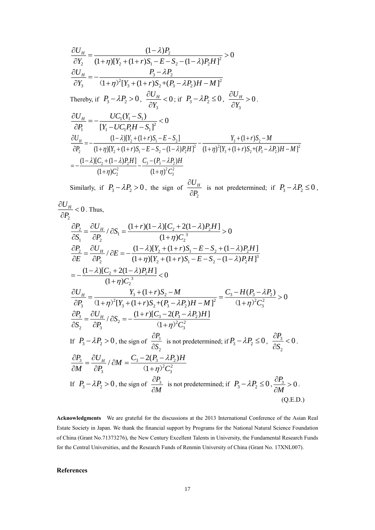$$
\frac{\partial U_{H}}{\partial Y_{2}} = \frac{(1-\lambda)P_{2}}{(1+\eta)[Y_{2} + (1+r)S_{1} - E - S_{2} - (1-\lambda)P_{2}H]^{2}} > 0
$$
\n
$$
\frac{\partial U_{H}}{\partial Y_{3}} = -\frac{P_{3} - \lambda P_{2}}{(1+\eta)^{2}[Y_{3} + (1+r)S_{2} + (P_{3} - \lambda P_{2})H - M]^{2}}
$$
\nThereby, if

\n
$$
P_{3} - \lambda P_{2} > 0, \frac{\partial U_{H}}{\partial Y_{3}} < 0; \text{ if } P_{3} - \lambda P_{2} \le 0, \frac{\partial U_{H}}{\partial Y_{3}} > 0.
$$
\n
$$
\frac{\partial U_{H}}{\partial P_{1}} = -\frac{U C_{1} (Y_{1} - S_{1})}{[Y_{1} - U C_{1} P_{1} H - S_{1}]^{2}} < 0
$$
\n
$$
\frac{\partial U_{H}}{\partial P_{2}} = -\frac{(1-\lambda)[Y_{2} + (1+r)S_{1} - E - S_{2}]}{(1+\eta)[Y_{2} + (1+r)S_{1} - E - S_{2} - (1-\lambda)P_{2}H]^{2}} - \frac{Y_{3} + (1+r)S_{2} - M}{(1+\eta)^{2}[Y_{3} + (1+r)S_{2} + (P_{3} - \lambda P_{2})H - M]^{2}}
$$
\n
$$
= -\frac{(1-\lambda)[C_{2} + (1-\lambda)P_{2}H]}{(1+\eta)C_{2}^{2}} - \frac{C_{3} - (P_{3} - \lambda P_{2})H}{(1+\eta)^{2}C_{3}^{2}}
$$

Similarly, if  $P_3 - \lambda P_2 > 0$ , the sign of 2  $U_{\scriptscriptstyle H}$ *P* д  $\frac{\partial H}{\partial P_2}$  is not predetermined; if  $P_3 - \lambda P_2 \le 0$ ,

$$
\frac{\partial U_H}{\partial P_2} < 0.
$$
 Thus,  
\n
$$
\frac{\partial P_2}{\partial S_1} = \frac{\partial U_H}{\partial P_2} / \partial S_1 = \frac{(1+r)(1-\lambda)[C_2 + 2(1-\lambda)P_2H]}{(1+\eta)C_2^3} > 0
$$
\n
$$
\frac{\partial P_2}{\partial E} = \frac{\partial U_H}{\partial P_2} / \partial E = -\frac{(1-\lambda)[Y_2 + (1+r)S_1 - E - S_2 + (1-\lambda)P_2H]}{(1+\eta)[Y_2 + (1+r)S_1 - E - S_2 - (1-\lambda)P_2H]^3}
$$
\n
$$
= -\frac{(1-\lambda)[C_2 + 2(1-\lambda)P_2H]}{(1+\eta)C_2^3} < 0
$$
\n
$$
\frac{\partial U_H}{\partial P_3} = \frac{Y_3 + (1+r)S_2 - M}{(1+\eta)^2[Y_3 + (1+r)S_2 + (P_3 - \lambda P_2)H - M]^2} = \frac{C_3 - H(P_3 - \lambda P_2)}{(1+\eta)^2 C_3^2} > 0
$$
\n
$$
\frac{\partial P_3}{\partial S_2} = \frac{\partial U_H}{\partial P_3} / \partial S_2 = -\frac{(1+r)[C_3 - 2(P_3 - \lambda P_2)H]}{(1+\eta)^2 C_3^2}
$$
\nIf  $P_3 - \lambda P_2 > 0$ , the sign of  $\frac{\partial P_3}{\partial S_2}$  is not predetermined; if  $P_3 - \lambda P_2 \le 0$ ,  $\frac{\partial P_3}{\partial S_2} < 0$ .  
\n
$$
\frac{\partial P_3}{\partial M} = \frac{\partial U_H}{\partial P_3} / \partial M = \frac{C_3 - 2(P_3 - \lambda P_2)H}{(1+\eta)^2 C_3^2}
$$
\nIf  $P_3 - \lambda P_2 > 0$ , the sign of  $\frac{\partial P_3}{\partial M}$  is not predetermined; if  $P_3 - \lambda P_2 \le 0$ ,  $\frac{\partial P_3}{\partial M} > 0$ . (Q.E.D.)

**Acknowledgments** We are grateful for the discussions at the 2013 International Conference of the Asian Real Estate Society in Japan. We thank the financial support by Programs for the National Natural Science Foundation of China (Grant No.71373276), the New Century Excellent Talents in University, the Fundamental Research Funds for the Central Universities, and the Research Funds of Renmin University of China (Grant No. 17XNL007).

## **References**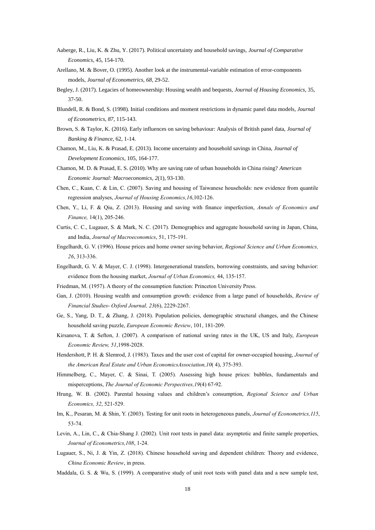- Aaberge, R., Liu, K. & Zhu, Y. (2017). Political uncertainty and household savings, *Journal of Comparative Economics*, 45, 154-170.
- Arellano, M. & Bover, O. (1995). Another look at the instrumental-variable estimation of error-components models, *Journal of Econometrics*, *68*, 29-52.
- Begley, J. (2017). Legacies of homeownership: Housing wealth and bequests, *Journal of Housing Economics*, 35, 37-50.
- Blundell, R. & Bond, S. (1998). Initial conditions and moment restrictions in dynamic panel data models, *Journal of Econometrics*, *87*, 115-143.
- Brown, S. & Taylor, K. (2016). Early influences on saving behaviour: Analysis of British panel data, *Journal of Banking & Finance*, 62, 1-14.
- Chamon, M., Liu, K. & Prasad, E. (2013). Income uncertainty and household savings in China, *Journal of Development Economics*, 105, 164-177.
- Chamon, M. D. & Prasad, E. S. (2010). Why are saving rate of urban households in China rising? *American Economic Journal: Macroeconomics*, *2*(1), 93-130.
- Chen, C., Kuan, C. & Lin, C. (2007). Saving and housing of Taiwanese households: new evidence from quantile regression analyses, *Journal of Housing Economics,16*,102-126.
- Chen, Y., Li, F. & Qiu, Z. (2013). Housing and saving with finance imperfection, *Annals of Economics and Finance,* 14(1), 205-246.
- Curtis, C. C., Lugauer, S. & Mark, N. C. (2017). Demographics and aggregate household saving in Japan, China, and India, *Journal of Macroeconomics*, 51, 175-191.
- Engelhardt, G. V. (1996). House prices and home owner saving behavior, *Regional Science and Urban Economics, 26*, 313-336.
- Engelhardt, G. V. & Mayer, C. J. (1998). Intergenerational transfers, borrowing constraints, and saving behavior: evidence from the housing market, *Journal of Urban Economics,* 44, 135-157.
- Friedman, M. (1957). A theory of the consumption function: Princeton University Press.
- Gan, J. (2010). Housing wealth and consumption growth: evidence from a large panel of households, *Review of Financial Studies- Oxford Journal, 23*(6), 2229-2267.
- Ge, S., Yang, D. T., & Zhang, J. (2018). Population policies, demographic structural changes, and the Chinese household saving puzzle, *European Economic Review*, 101, 181-209.
- Kirsanova, T. & Sefton, J. (2007). A comparison of national saving rates in the UK, US and Italy, *European Economic Review, 51*,1998-2028.
- Hendershott, P. H. & Slemrod, J. (1983). Taxes and the user cost of capital for owner-occupied housing, *Journal of the American Real Estate and Urban EconomicsAssociation,10*( 4), 375-393.
- Himmelberg, C., Mayer, C. & Sinai, T. (2005). Assessing high house prices: bubbles, fundamentals and misperceptions, *The Journal of Economic Perspectives,19*(4) 67-92.
- Hrung, W. B. (2002). Parental housing values and children's consumption, *Regional Science and Urban Economics, 32*, 521-529.
- Im, K., Pesaran, M. & Shin, Y. (2003). Testing for unit roots in heterogeneous panels, *Journal of Econometrics,115*, 53-74.
- Levin, A., Lin, C., & Chia-Shang J. (2002). Unit root tests in panel data: asymptotic and finite sample properties, *Journal of Econometrics,108*, 1-24.
- Lugauer, S., Ni, J. & Yin, Z. (2018). Chinese household saving and dependent children: Theory and evidence, *China Economic Review*, in press.
- Maddala, G. S. & Wu, S. (1999). A comparative study of unit root tests with panel data and a new sample test,